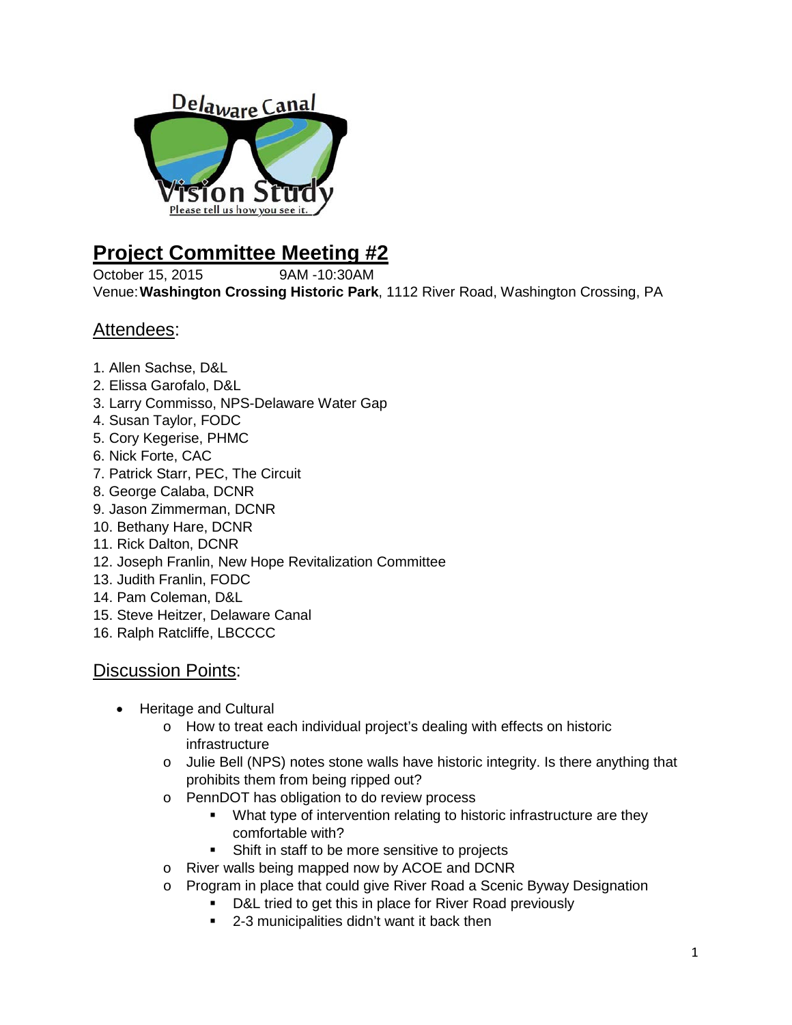

## **Project Committee Meeting #2**

October 15, 2015 9AM -10:30AM Venue:**Washington Crossing Historic Park**, 1112 River Road, Washington Crossing, PA

## Attendees:

- 1. Allen Sachse, D&L
- 2. Elissa Garofalo, D&L
- 3. Larry Commisso, NPS-Delaware Water Gap
- 4. Susan Taylor, FODC
- 5. Cory Kegerise, PHMC
- 6. Nick Forte, CAC
- 7. Patrick Starr, PEC, The Circuit
- 8. George Calaba, DCNR
- 9. Jason Zimmerman, DCNR
- 10. Bethany Hare, DCNR
- 11. Rick Dalton, DCNR
- 12. Joseph Franlin, New Hope Revitalization Committee
- 13. Judith Franlin, FODC
- 14. Pam Coleman, D&L
- 15. Steve Heitzer, Delaware Canal
- 16. Ralph Ratcliffe, LBCCCC

## Discussion Points:

- Heritage and Cultural
	- o How to treat each individual project's dealing with effects on historic infrastructure
	- o Julie Bell (NPS) notes stone walls have historic integrity. Is there anything that prohibits them from being ripped out?
	- o PennDOT has obligation to do review process
		- What type of intervention relating to historic infrastructure are they comfortable with?
		- **Shift in staff to be more sensitive to projects**
	- o River walls being mapped now by ACOE and DCNR
	- o Program in place that could give River Road a Scenic Byway Designation
		- **D&L** tried to get this in place for River Road previously
		- 2-3 municipalities didn't want it back then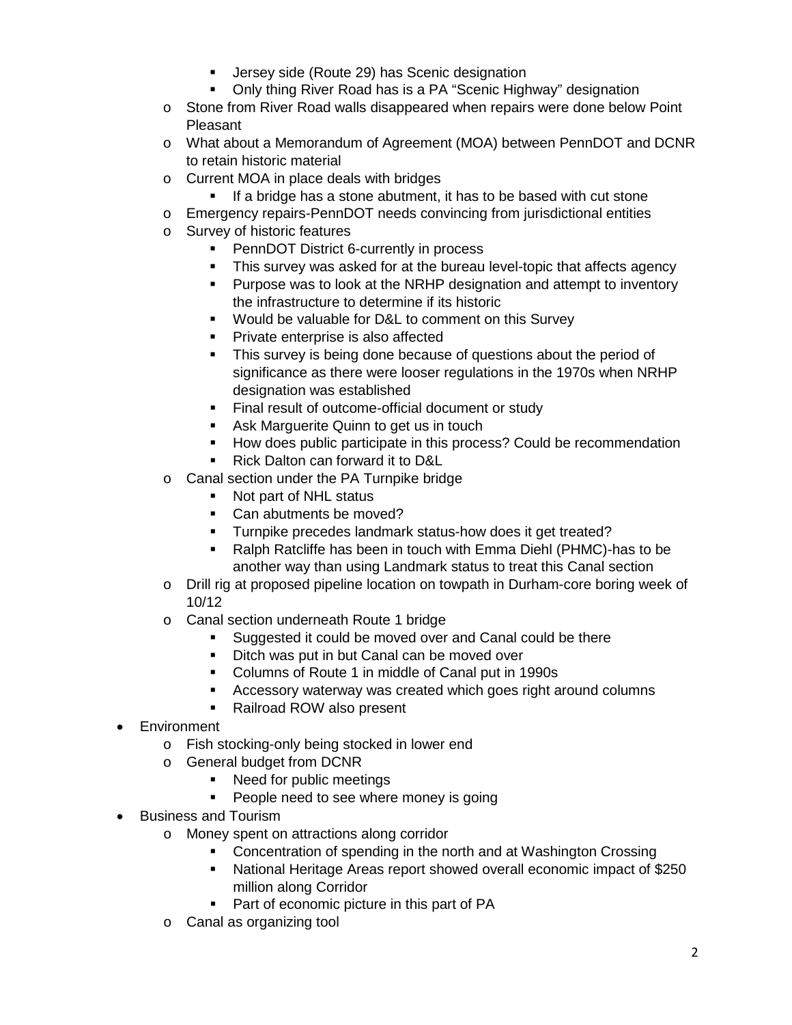- **Jersey side (Route 29) has Scenic designation**
- Only thing River Road has is a PA "Scenic Highway" designation
- o Stone from River Road walls disappeared when repairs were done below Point **Pleasant**
- o What about a Memorandum of Agreement (MOA) between PennDOT and DCNR to retain historic material
- o Current MOA in place deals with bridges
	- **If a bridge has a stone abutment, it has to be based with cut stone**
- o Emergency repairs-PennDOT needs convincing from jurisdictional entities
- o Survey of historic features
	- PennDOT District 6-currently in process
	- This survey was asked for at the bureau level-topic that affects agency
	- **Purpose was to look at the NRHP designation and attempt to inventory** the infrastructure to determine if its historic
	- Would be valuable for D&L to comment on this Survey
	- **Private enterprise is also affected**
	- This survey is being done because of questions about the period of significance as there were looser regulations in the 1970s when NRHP designation was established
	- Final result of outcome-official document or study
	- **Ask Marguerite Quinn to get us in touch**
	- **How does public participate in this process? Could be recommendation**
	- Rick Dalton can forward it to D&L
- o Canal section under the PA Turnpike bridge
	- Not part of NHL status
	- Can abutments be moved?
	- **Turnpike precedes landmark status-how does it get treated?**
	- Ralph Ratcliffe has been in touch with Emma Diehl (PHMC)-has to be another way than using Landmark status to treat this Canal section
- o Drill rig at proposed pipeline location on towpath in Durham-core boring week of 10/12
- o Canal section underneath Route 1 bridge
	- Suggested it could be moved over and Canal could be there
	- Ditch was put in but Canal can be moved over
	- Columns of Route 1 in middle of Canal put in 1990s
	- Accessory waterway was created which goes right around columns
	- Railroad ROW also present
- **Environment** 
	- o Fish stocking-only being stocked in lower end
	- o General budget from DCNR
		- Need for public meetings
		- **People need to see where money is going**
- Business and Tourism
	- o Money spent on attractions along corridor
		- Concentration of spending in the north and at Washington Crossing
		- National Heritage Areas report showed overall economic impact of \$250 million along Corridor
		- Part of economic picture in this part of PA
	- o Canal as organizing tool